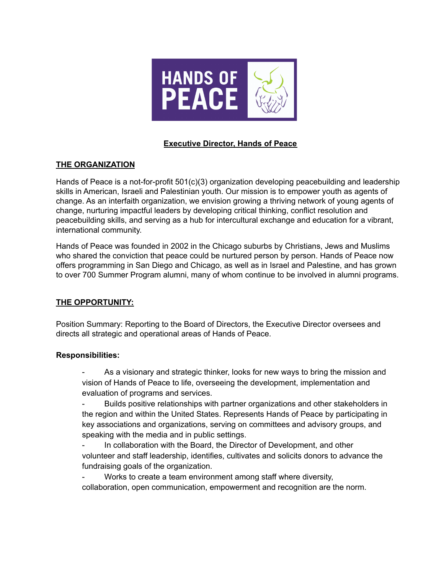

# **Executive Director, Hands of Peace**

# **THE ORGANIZATION**

Hands of Peace is a not-for-profit 501(c)(3) organization developing peacebuilding and leadership skills in American, Israeli and Palestinian youth. Our mission is to empower youth as agents of change. As an interfaith organization, we envision growing a thriving network of young agents of change, nurturing impactful leaders by developing critical thinking, conflict resolution and peacebuilding skills, and serving as a hub for intercultural exchange and education for a vibrant, international community.

Hands of Peace was founded in 2002 in the Chicago suburbs by Christians, Jews and Muslims who shared the conviction that peace could be nurtured person by person. Hands of Peace now offers programming in San Diego and Chicago, as well as in Israel and Palestine, and has grown to over 700 Summer Program alumni, many of whom continue to be involved in alumni programs.

# **THE OPPORTUNITY:**

Position Summary: Reporting to the Board of Directors, the Executive Director oversees and directs all strategic and operational areas of Hands of Peace.

#### **Responsibilities:**

As a visionary and strategic thinker, looks for new ways to bring the mission and vision of Hands of Peace to life, overseeing the development, implementation and evaluation of programs and services.

- Builds positive relationships with partner organizations and other stakeholders in the region and within the United States. Represents Hands of Peace by participating in key associations and organizations, serving on committees and advisory groups, and speaking with the media and in public settings.

In collaboration with the Board, the Director of Development, and other volunteer and staff leadership, identifies, cultivates and solicits donors to advance the fundraising goals of the organization.

Works to create a team environment among staff where diversity, collaboration, open communication, empowerment and recognition are the norm.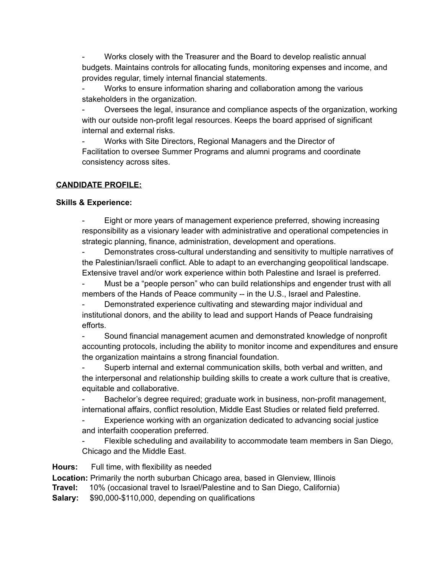Works closely with the Treasurer and the Board to develop realistic annual budgets. Maintains controls for allocating funds, monitoring expenses and income, and provides regular, timely internal financial statements.

Works to ensure information sharing and collaboration among the various stakeholders in the organization.

- Oversees the legal, insurance and compliance aspects of the organization, working with our outside non-profit legal resources. Keeps the board apprised of significant internal and external risks.

Works with Site Directors, Regional Managers and the Director of Facilitation to oversee Summer Programs and alumni programs and coordinate consistency across sites.

# **CANDIDATE PROFILE:**

### **Skills & Experience:**

Eight or more years of management experience preferred, showing increasing responsibility as a visionary leader with administrative and operational competencies in strategic planning, finance, administration, development and operations.

Demonstrates cross-cultural understanding and sensitivity to multiple narratives of the Palestinian/Israeli conflict. Able to adapt to an everchanging geopolitical landscape. Extensive travel and/or work experience within both Palestine and Israel is preferred.

Must be a "people person" who can build relationships and engender trust with all members of the Hands of Peace community -- in the U.S., Israel and Palestine.

Demonstrated experience cultivating and stewarding major individual and institutional donors, and the ability to lead and support Hands of Peace fundraising efforts.

- Sound financial management acumen and demonstrated knowledge of nonprofit accounting protocols, including the ability to monitor income and expenditures and ensure the organization maintains a strong financial foundation.

Superb internal and external communication skills, both verbal and written, and the interpersonal and relationship building skills to create a work culture that is creative, equitable and collaborative.

Bachelor's degree required; graduate work in business, non-profit management, international affairs, conflict resolution, Middle East Studies or related field preferred.

Experience working with an organization dedicated to advancing social justice and interfaith cooperation preferred.

Flexible scheduling and availability to accommodate team members in San Diego, Chicago and the Middle East.

**Hours:** Full time, with flexibility as needed

**Location:** Primarily the north suburban Chicago area, based in Glenview, Illinois

**Travel:** 10% (occasional travel to Israel/Palestine and to San Diego, California)

**Salary:** \$90,000-\$110,000, depending on qualifications